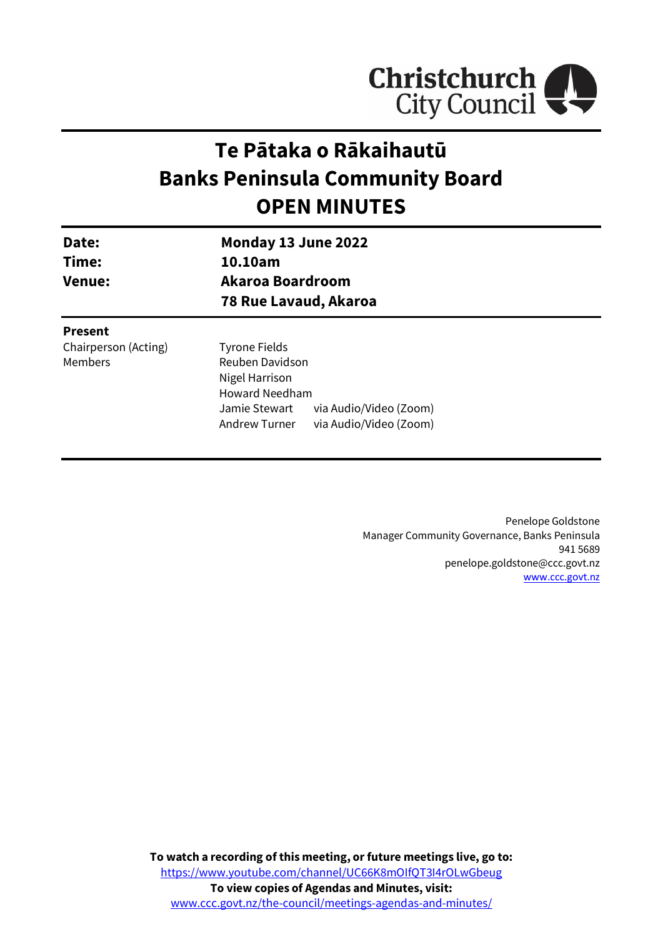

# **Te Pātaka o Rākaihautū Banks Peninsula Community Board OPEN MINUTES**

Jamie Stewart via Audio/Video (Zoom) Andrew Turner via Audio/Video (Zoom)

| Date:<br>Time:<br><b>Venue:</b> | Monday 13 June 2022          |  |
|---------------------------------|------------------------------|--|
|                                 | 10.10am                      |  |
|                                 | Akaroa Boardroom             |  |
|                                 | <b>78 Rue Lavaud, Akaroa</b> |  |
| <b>Present</b>                  |                              |  |
| Chairperson (Acting)            | <b>Tyrone Fields</b>         |  |
| Members                         | Reuben Davidson              |  |
|                                 | Nigel Harrison               |  |

Howard Needham

Penelope Goldstone Manager Community Governance, Banks Peninsula 941 5689 penelope.goldstone@ccc.govt.nz [www.ccc.govt.nz](http://www.ccc.govt.nz/)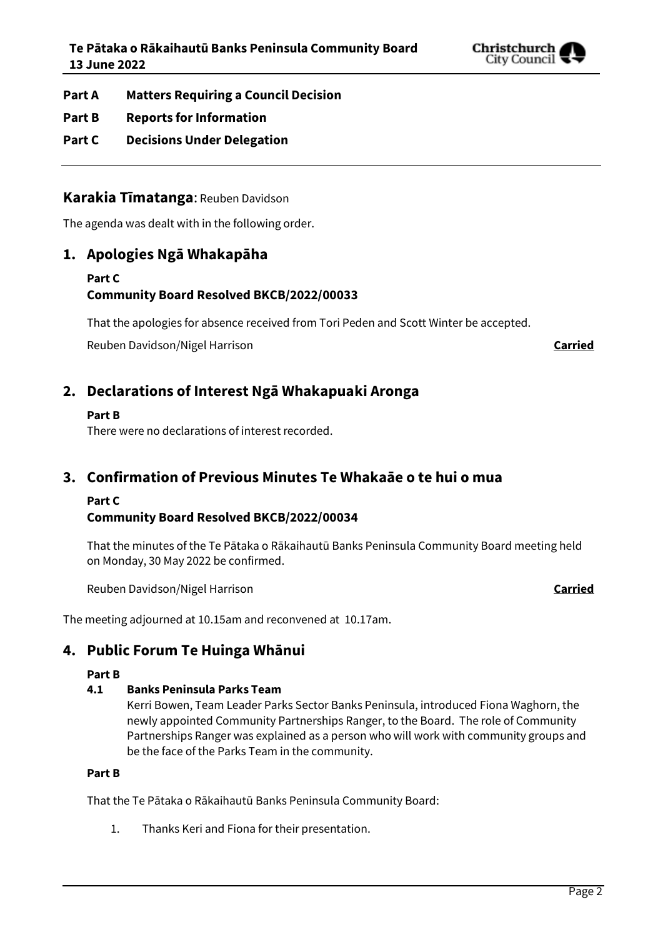

- **Part A Matters Requiring a Council Decision**
- **Part B Reports for Information**
- **Part C Decisions Under Delegation**

## **Karakia Tīmatanga**: Reuben Davidson

The agenda was dealt with in the following order.

## **1. Apologies Ngā Whakapāha**

## **Part C Community Board Resolved BKCB/2022/00033**

That the apologies for absence received from Tori Peden and Scott Winter be accepted.

Reuben Davidson/Nigel Harrison **Carried**

## **2. Declarations of Interest Ngā Whakapuaki Aronga**

## **Part B**

There were no declarations of interest recorded.

## **3. Confirmation of Previous Minutes Te Whakaāe o te hui o mua**

## **Part C**

## **Community Board Resolved BKCB/2022/00034**

That the minutes of the Te Pātaka o Rākaihautū Banks Peninsula Community Board meeting held on Monday, 30 May 2022 be confirmed.

Reuben Davidson/Nigel Harrison **Carried**

The meeting adjourned at 10.15am and reconvened at 10.17am.

## **4. Public Forum Te Huinga Whānui**

## **Part B**

## **4.1 Banks Peninsula Parks Team**

Kerri Bowen, Team Leader Parks Sector Banks Peninsula, introduced Fiona Waghorn, the newly appointed Community Partnerships Ranger, to the Board. The role of Community Partnerships Ranger was explained as a person who will work with community groups and be the face of the Parks Team in the community.

## **Part B**

That the Te Pātaka o Rākaihautū Banks Peninsula Community Board:

1. Thanks Keri and Fiona for their presentation.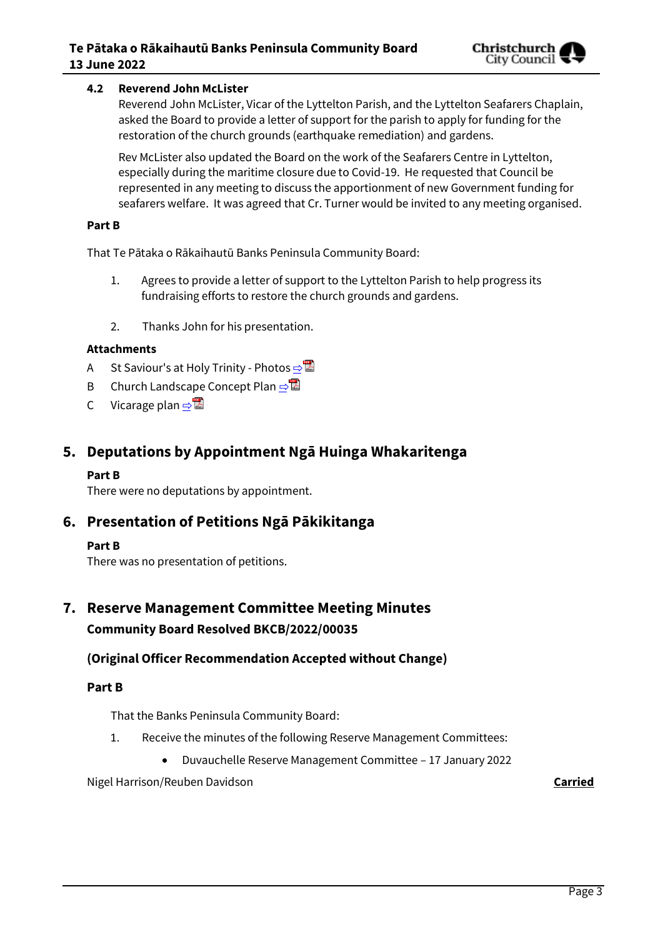## **4.2 Reverend John McLister**

Reverend John McLister, Vicar of the Lyttelton Parish, and the Lyttelton Seafarers Chaplain, asked the Board to provide a letter of support for the parish to apply for funding for the restoration of the church grounds (earthquake remediation) and gardens.

Rev McLister also updated the Board on the work of the Seafarers Centre in Lyttelton, especially during the maritime closure due to Covid-19. He requested that Council be represented in any meeting to discuss the apportionment of new Government funding for seafarers welfare. It was agreed that Cr. Turner would be invited to any meeting organised.

## **Part B**

That Te Pātaka o Rākaihautū Banks Peninsula Community Board:

- 1. Agrees to provide a letter of support to the Lyttelton Parish to help progress its fundraising efforts to restore the church grounds and gardens.
- 2. Thanks John for his presentation.

## **Attachments**

- A St Saviour's at Holy Trinity Photos **[⇨](../../../RedirectToInvalidFileName.aspx?FileName=BKCB_20220613_MAT_7665.PDF#PAGE=3)</u>**
- B Church Landscape Concept Plan [⇨](../../../RedirectToInvalidFileName.aspx?FileName=BKCB_20220613_MAT_7665.PDF#PAGE=6)
- C Vicarage plan  $\Rightarrow \blacksquare$

## **5. Deputations by Appointment Ngā Huinga Whakaritenga**

## **Part B**

There were no deputations by appointment.

## **6. Presentation of Petitions Ngā Pākikitanga**

## **Part B**

There was no presentation of petitions.

## **7. Reserve Management Committee Meeting Minutes Community Board Resolved BKCB/2022/00035**

## **(Original Officer Recommendation Accepted without Change)**

## **Part B**

That the Banks Peninsula Community Board:

- 1. Receive the minutes of the following Reserve Management Committees:
	- Duvauchelle Reserve Management Committee 17 January 2022

Nigel Harrison/Reuben Davidson **Carried**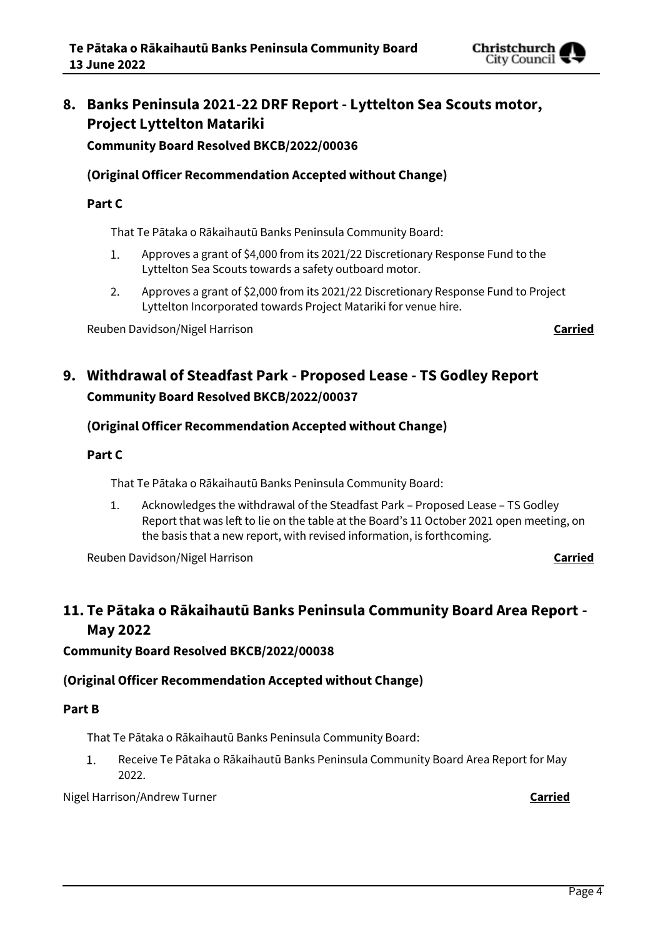## **8. Banks Peninsula 2021-22 DRF Report - Lyttelton Sea Scouts motor, Project Lyttelton Matariki**

**Community Board Resolved BKCB/2022/00036**

## **(Original Officer Recommendation Accepted without Change)**

## **Part C**

That Te Pātaka o Rākaihautū Banks Peninsula Community Board:

- $1.$ Approves a grant of \$4,000 from its 2021/22 Discretionary Response Fund to the Lyttelton Sea Scouts towards a safety outboard motor.
- $2.$ Approves a grant of \$2,000 from its 2021/22 Discretionary Response Fund to Project Lyttelton Incorporated towards Project Matariki for venue hire.

Reuben Davidson/Nigel Harrison **Carried**

## **9. Withdrawal of Steadfast Park - Proposed Lease - TS Godley Report Community Board Resolved BKCB/2022/00037**

## **(Original Officer Recommendation Accepted without Change)**

## **Part C**

That Te Pātaka o Rākaihautū Banks Peninsula Community Board:

1. Acknowledges the withdrawal of the Steadfast Park – Proposed Lease – TS Godley Report that was left to lie on the table at the Board's 11 October 2021 open meeting, on the basis that a new report, with revised information, is forthcoming.

Reuben Davidson/Nigel Harrison **Carried**

## **11. Te Pātaka o Rākaihautū Banks Peninsula Community Board Area Report - May 2022**

## **Community Board Resolved BKCB/2022/00038**

## **(Original Officer Recommendation Accepted without Change)**

## **Part B**

That Te Pātaka o Rākaihautū Banks Peninsula Community Board:

 $1.$ Receive Te Pātaka o Rākaihautū Banks Peninsula Community Board Area Report for May 2022.

## Nigel Harrison/Andrew Turner **Carried**

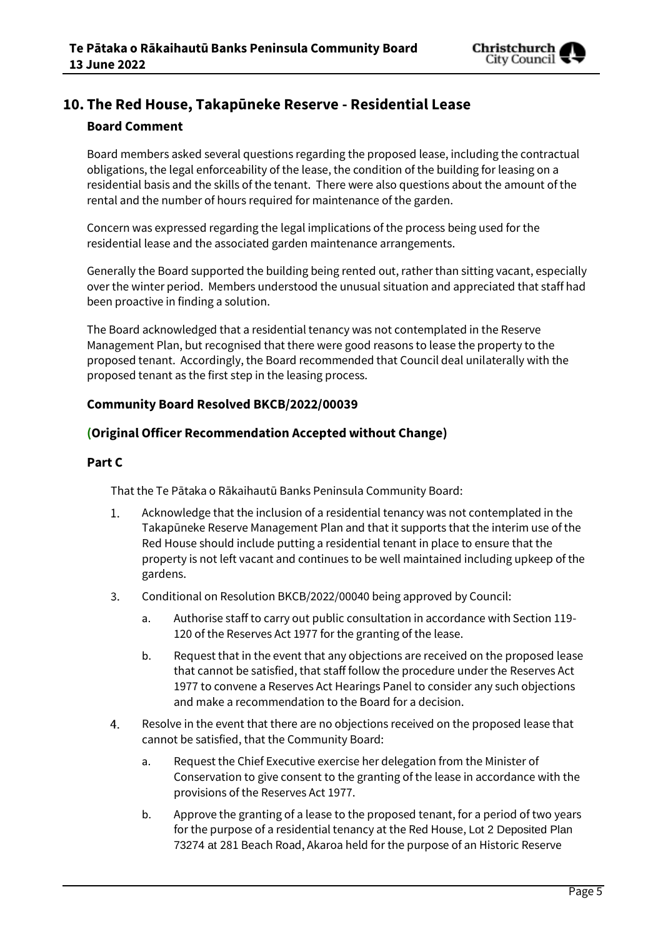

## **10. The Red House, Takapūneke Reserve - Residential Lease**

## **Board Comment**

Board members asked several questions regarding the proposed lease, including the contractual obligations, the legal enforceability of the lease, the condition of the building for leasing on a residential basis and the skills of the tenant. There were also questions about the amount of the rental and the number of hours required for maintenance of the garden.

Concern was expressed regarding the legal implications of the process being used for the residential lease and the associated garden maintenance arrangements.

Generally the Board supported the building being rented out, rather than sitting vacant, especially over the winter period. Members understood the unusual situation and appreciated that staff had been proactive in finding a solution.

The Board acknowledged that a residential tenancy was not contemplated in the Reserve Management Plan, but recognised that there were good reasons to lease the property to the proposed tenant. Accordingly, the Board recommended that Council deal unilaterally with the proposed tenant as the first step in the leasing process.

## **Community Board Resolved BKCB/2022/00039**

## **(Original Officer Recommendation Accepted without Change)**

## **Part C**

That the Te Pātaka o Rākaihautū Banks Peninsula Community Board:

- $1.$ Acknowledge that the inclusion of a residential tenancy was not contemplated in the Takapūneke Reserve Management Plan and that it supports that the interim use of the Red House should include putting a residential tenant in place to ensure that the property is not left vacant and continues to be well maintained including upkeep of the gardens.
- Conditional on Resolution BKCB/2022/00040 being approved by Council:  $3.$ 
	- a. Authorise staff to carry out public consultation in accordance with Section 119- 120 of the Reserves Act 1977 for the granting of the lease.
	- b. Request that in the event that any objections are received on the proposed lease that cannot be satisfied, that staff follow the procedure under the Reserves Act 1977 to convene a Reserves Act Hearings Panel to consider any such objections and make a recommendation to the Board for a decision.
- 4. Resolve in the event that there are no objections received on the proposed lease that cannot be satisfied, that the Community Board:
	- a. Request the Chief Executive exercise her delegation from the Minister of Conservation to give consent to the granting of the lease in accordance with the provisions of the Reserves Act 1977.
	- b. Approve the granting of a lease to the proposed tenant, for a period of two years for the purpose of a residential tenancy at the Red House, Lot 2 Deposited Plan 73274 at 281 Beach Road, Akaroa held for the purpose of an Historic Reserve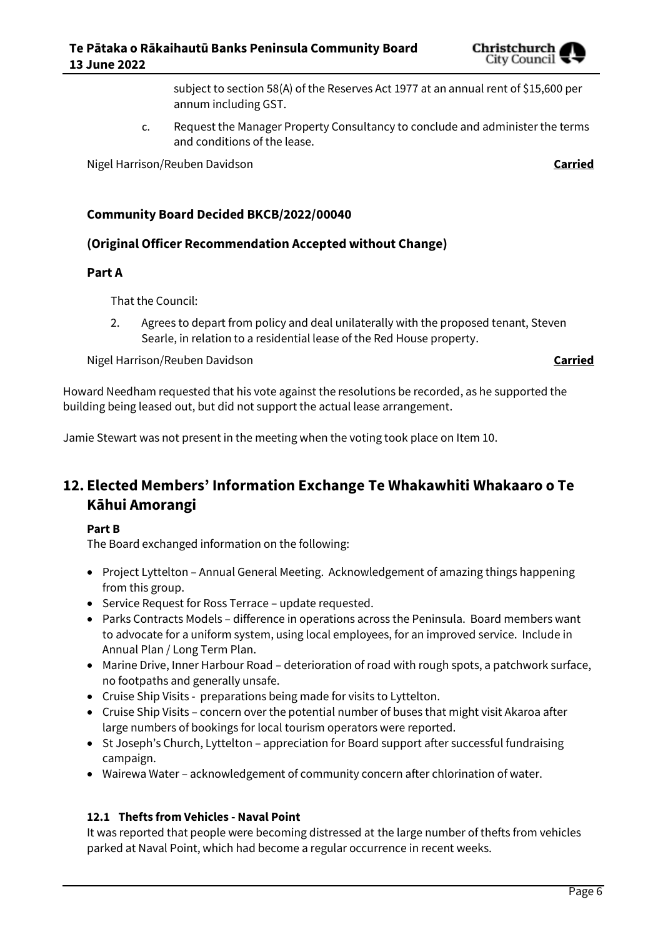

subject to section 58(A) of the Reserves Act 1977 at an annual rent of \$15,600 per annum including GST.

c. Request the Manager Property Consultancy to conclude and administer the terms and conditions of the lease.

Nigel Harrison/Reuben Davidson **Carried**

## **Community Board Decided BKCB/2022/00040**

## **(Original Officer Recommendation Accepted without Change)**

## **Part A**

That the Council:

2. Agrees to depart from policy and deal unilaterally with the proposed tenant, Steven Searle, in relation to a residential lease of the Red House property.

Nigel Harrison/Reuben Davidson **Carried**

Howard Needham requested that his vote against the resolutions be recorded, as he supported the building being leased out, but did not support the actual lease arrangement.

Jamie Stewart was not present in the meeting when the voting took place on Item 10.

## **12. Elected Members' Information Exchange Te Whakawhiti Whakaaro o Te Kāhui Amorangi**

## **Part B**

The Board exchanged information on the following:

- Project Lyttelton Annual General Meeting. Acknowledgement of amazing things happening from this group.
- Service Request for Ross Terrace update requested.
- Parks Contracts Models difference in operations across the Peninsula. Board members want to advocate for a uniform system, using local employees, for an improved service. Include in Annual Plan / Long Term Plan.
- Marine Drive, Inner Harbour Road deterioration of road with rough spots, a patchwork surface, no footpaths and generally unsafe.
- Cruise Ship Visits preparations being made for visits to Lyttelton.
- Cruise Ship Visits concern over the potential number of buses that might visit Akaroa after large numbers of bookings for local tourism operators were reported.
- St Joseph's Church, Lyttelton appreciation for Board support after successful fundraising campaign.
- Wairewa Water acknowledgement of community concern after chlorination of water.

## **12.1 Thefts from Vehicles - Naval Point**

It was reported that people were becoming distressed at the large number of thefts from vehicles parked at Naval Point, which had become a regular occurrence in recent weeks.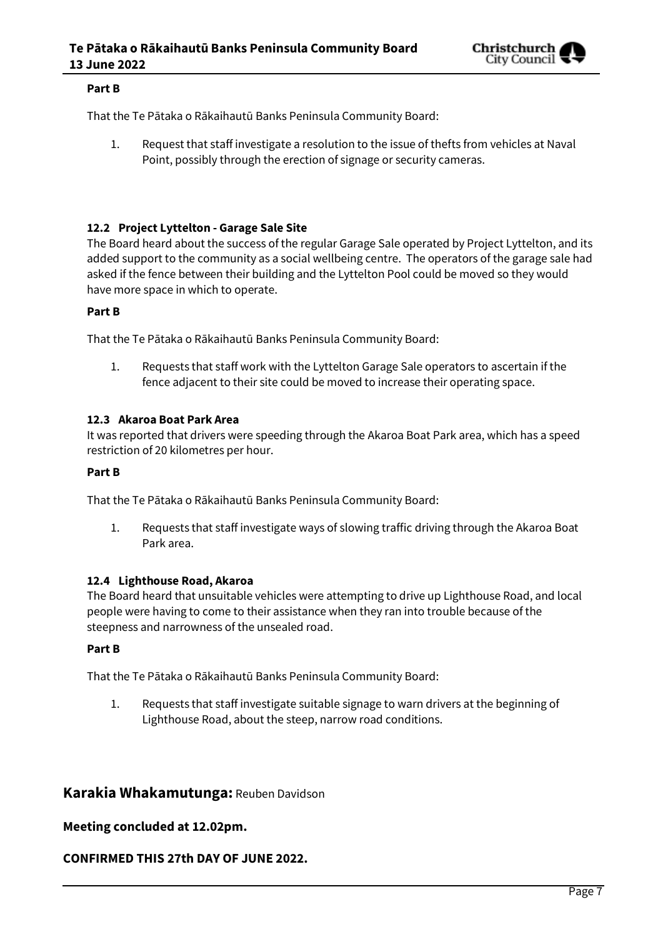

#### **Part B**

That the Te Pātaka o Rākaihautū Banks Peninsula Community Board:

1. Request that staff investigate a resolution to the issue of thefts from vehicles at Naval Point, possibly through the erection of signage or security cameras.

## **12.2 Project Lyttelton - Garage Sale Site**

The Board heard about the success of the regular Garage Sale operated by Project Lyttelton, and its added support to the community as a social wellbeing centre. The operators of the garage sale had asked if the fence between their building and the Lyttelton Pool could be moved so they would have more space in which to operate.

## **Part B**

That the Te Pātaka o Rākaihautū Banks Peninsula Community Board:

1. Requests that staff work with the Lyttelton Garage Sale operators to ascertain if the fence adjacent to their site could be moved to increase their operating space.

#### **12.3 Akaroa Boat Park Area**

It was reported that drivers were speeding through the Akaroa Boat Park area, which has a speed restriction of 20 kilometres per hour.

#### **Part B**

That the Te Pātaka o Rākaihautū Banks Peninsula Community Board:

1. Requests that staff investigate ways of slowing traffic driving through the Akaroa Boat Park area.

#### **12.4 Lighthouse Road, Akaroa**

The Board heard that unsuitable vehicles were attempting to drive up Lighthouse Road, and local people were having to come to their assistance when they ran into trouble because of the steepness and narrowness of the unsealed road.

#### **Part B**

That the Te Pātaka o Rākaihautū Banks Peninsula Community Board:

1. Requests that staff investigate suitable signage to warn drivers at the beginning of Lighthouse Road, about the steep, narrow road conditions.

## **Karakia Whakamutunga:** Reuben Davidson

## **Meeting concluded at 12.02pm.**

## **CONFIRMED THIS 27th DAY OF JUNE 2022.**